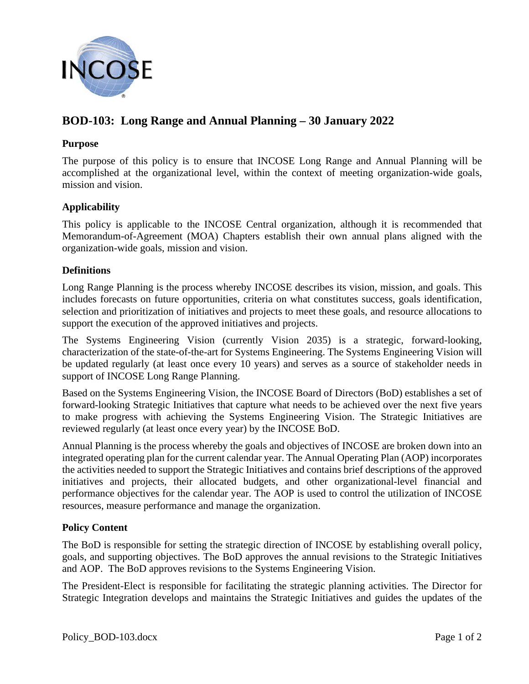

# **BOD-103: Long Range and Annual Planning – 30 January 2022**

## **Purpose**

The purpose of this policy is to ensure that INCOSE Long Range and Annual Planning will be accomplished at the organizational level, within the context of meeting organization-wide goals, mission and vision.

# **Applicability**

This policy is applicable to the INCOSE Central organization, although it is recommended that Memorandum-of-Agreement (MOA) Chapters establish their own annual plans aligned with the organization-wide goals, mission and vision.

# **Definitions**

Long Range Planning is the process whereby INCOSE describes its vision, mission, and goals. This includes forecasts on future opportunities, criteria on what constitutes success, goals identification, selection and prioritization of initiatives and projects to meet these goals, and resource allocations to support the execution of the approved initiatives and projects.

The Systems Engineering Vision (currently Vision 2035) is a strategic, forward-looking, characterization of the state-of-the-art for Systems Engineering. The Systems Engineering Vision will be updated regularly (at least once every 10 years) and serves as a source of stakeholder needs in support of INCOSE Long Range Planning.

Based on the Systems Engineering Vision, the INCOSE Board of Directors (BoD) establishes a set of forward-looking Strategic Initiatives that capture what needs to be achieved over the next five years to make progress with achieving the Systems Engineering Vision. The Strategic Initiatives are reviewed regularly (at least once every year) by the INCOSE BoD.

Annual Planning is the process whereby the goals and objectives of INCOSE are broken down into an integrated operating plan for the current calendar year. The Annual Operating Plan (AOP) incorporates the activities needed to support the Strategic Initiatives and contains brief descriptions of the approved initiatives and projects, their allocated budgets, and other organizational-level financial and performance objectives for the calendar year. The AOP is used to control the utilization of INCOSE resources, measure performance and manage the organization.

### **Policy Content**

The BoD is responsible for setting the strategic direction of INCOSE by establishing overall policy, goals, and supporting objectives. The BoD approves the annual revisions to the Strategic Initiatives and AOP. The BoD approves revisions to the Systems Engineering Vision.

The President-Elect is responsible for facilitating the strategic planning activities. The Director for Strategic Integration develops and maintains the Strategic Initiatives and guides the updates of the